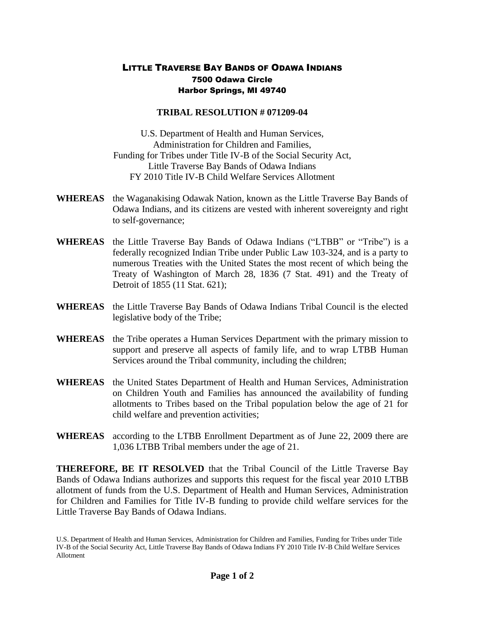## LITTLE TRAVERSE BAY BANDS OF ODAWA INDIANS 7500 Odawa Circle Harbor Springs, MI 49740

## **TRIBAL RESOLUTION # 071209-04**

U.S. Department of Health and Human Services, Administration for Children and Families, Funding for Tribes under Title IV-B of the Social Security Act, Little Traverse Bay Bands of Odawa Indians FY 2010 Title IV-B Child Welfare Services Allotment

- **WHEREAS** the Waganakising Odawak Nation, known as the Little Traverse Bay Bands of Odawa Indians, and its citizens are vested with inherent sovereignty and right to self-governance;
- **WHEREAS** the Little Traverse Bay Bands of Odawa Indians ("LTBB" or "Tribe") is a federally recognized Indian Tribe under Public Law 103-324, and is a party to numerous Treaties with the United States the most recent of which being the Treaty of Washington of March 28, 1836 (7 Stat. 491) and the Treaty of Detroit of 1855 (11 Stat. 621);
- **WHEREAS** the Little Traverse Bay Bands of Odawa Indians Tribal Council is the elected legislative body of the Tribe;
- **WHEREAS** the Tribe operates a Human Services Department with the primary mission to support and preserve all aspects of family life, and to wrap LTBB Human Services around the Tribal community, including the children;
- **WHEREAS** the United States Department of Health and Human Services, Administration on Children Youth and Families has announced the availability of funding allotments to Tribes based on the Tribal population below the age of 21 for child welfare and prevention activities;
- **WHEREAS** according to the LTBB Enrollment Department as of June 22, 2009 there are 1,036 LTBB Tribal members under the age of 21.

**THEREFORE, BE IT RESOLVED** that the Tribal Council of the Little Traverse Bay Bands of Odawa Indians authorizes and supports this request for the fiscal year 2010 LTBB allotment of funds from the U.S. Department of Health and Human Services, Administration for Children and Families for Title IV-B funding to provide child welfare services for the Little Traverse Bay Bands of Odawa Indians.

U.S. Department of Health and Human Services, Administration for Children and Families, Funding for Tribes under Title IV-B of the Social Security Act, Little Traverse Bay Bands of Odawa Indians FY 2010 Title IV-B Child Welfare Services Allotment